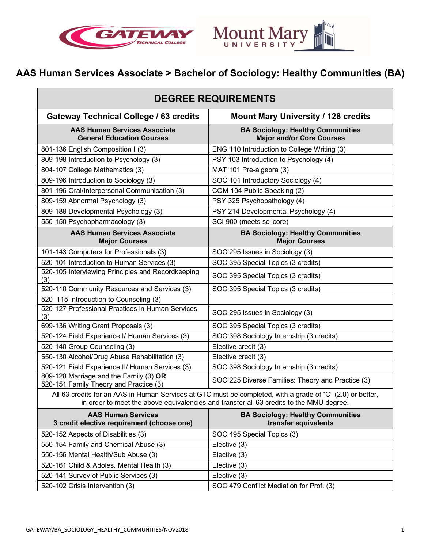



# **AAS Human Services Associate > Bachelor of Sociology: Healthy Communities (BA)**

| <b>DEGREE REQUIREMENTS</b>                                                                                                                                                                            |                                                                              |
|-------------------------------------------------------------------------------------------------------------------------------------------------------------------------------------------------------|------------------------------------------------------------------------------|
| <b>Gateway Technical College / 63 credits</b>                                                                                                                                                         | <b>Mount Mary University / 128 credits</b>                                   |
| <b>AAS Human Services Associate</b><br><b>General Education Courses</b>                                                                                                                               | <b>BA Sociology: Healthy Communities</b><br><b>Major and/or Core Courses</b> |
| 801-136 English Composition I (3)                                                                                                                                                                     | ENG 110 Introduction to College Writing (3)                                  |
| 809-198 Introduction to Psychology (3)                                                                                                                                                                | PSY 103 Introduction to Psychology (4)                                       |
| 804-107 College Mathematics (3)                                                                                                                                                                       | MAT 101 Pre-algebra (3)                                                      |
| 809-196 Introduction to Sociology (3)                                                                                                                                                                 | SOC 101 Introductory Sociology (4)                                           |
| 801-196 Oral/Interpersonal Communication (3)                                                                                                                                                          | COM 104 Public Speaking (2)                                                  |
| 809-159 Abnormal Psychology (3)                                                                                                                                                                       | PSY 325 Psychopathology (4)                                                  |
| 809-188 Developmental Psychology (3)                                                                                                                                                                  | PSY 214 Developmental Psychology (4)                                         |
| 550-150 Psychopharmacology (3)                                                                                                                                                                        | SCI 900 (meets sci core)                                                     |
| <b>AAS Human Services Associate</b><br><b>Major Courses</b>                                                                                                                                           | <b>BA Sociology: Healthy Communities</b><br><b>Major Courses</b>             |
| 101-143 Computers for Professionals (3)                                                                                                                                                               | SOC 295 Issues in Sociology (3)                                              |
| 520-101 Introduction to Human Services (3)                                                                                                                                                            | SOC 395 Special Topics (3 credits)                                           |
| 520-105 Interviewing Principles and Recordkeeping<br>(3)                                                                                                                                              | SOC 395 Special Topics (3 credits)                                           |
| 520-110 Community Resources and Services (3)                                                                                                                                                          | SOC 395 Special Topics (3 credits)                                           |
| 520-115 Introduction to Counseling (3)                                                                                                                                                                |                                                                              |
| 520-127 Professional Practices in Human Services<br>(3)                                                                                                                                               | SOC 295 Issues in Sociology (3)                                              |
| 699-136 Writing Grant Proposals (3)                                                                                                                                                                   | SOC 395 Special Topics (3 credits)                                           |
| 520-124 Field Experience I/ Human Services (3)                                                                                                                                                        | SOC 398 Sociology Internship (3 credits)                                     |
| 520-140 Group Counseling (3)                                                                                                                                                                          | Elective credit (3)                                                          |
| 550-130 Alcohol/Drug Abuse Rehabilitation (3)                                                                                                                                                         | Elective credit (3)                                                          |
| 520-121 Field Experience II/ Human Services (3)                                                                                                                                                       | SOC 398 Sociology Internship (3 credits)                                     |
| 809-128 Marriage and the Family (3) OR<br>520-151 Family Theory and Practice (3)                                                                                                                      | SOC 225 Diverse Families: Theory and Practice (3)                            |
| All 63 credits for an AAS in Human Services at GTC must be completed, with a grade of "C" (2.0) or better,<br>in order to meet the above equivalencies and transfer all 63 credits to the MMU degree. |                                                                              |
| <b>AAS Human Services</b><br>3 credit elective requirement (choose one)                                                                                                                               | <b>BA Sociology: Healthy Communities</b><br>transfer equivalents             |
| 520-152 Aspects of Disabilities (3)                                                                                                                                                                   | SOC 495 Special Topics (3)                                                   |
| 550-154 Family and Chemical Abuse (3)                                                                                                                                                                 | Elective (3)                                                                 |
| 550-156 Mental Health/Sub Abuse (3)                                                                                                                                                                   | Elective (3)                                                                 |
| 520-161 Child & Adoles. Mental Health (3)                                                                                                                                                             | Elective (3)                                                                 |
| 520-141 Survey of Public Services (3)                                                                                                                                                                 | Elective (3)                                                                 |
| 520-102 Crisis Intervention (3)                                                                                                                                                                       | SOC 479 Conflict Mediation for Prof. (3)                                     |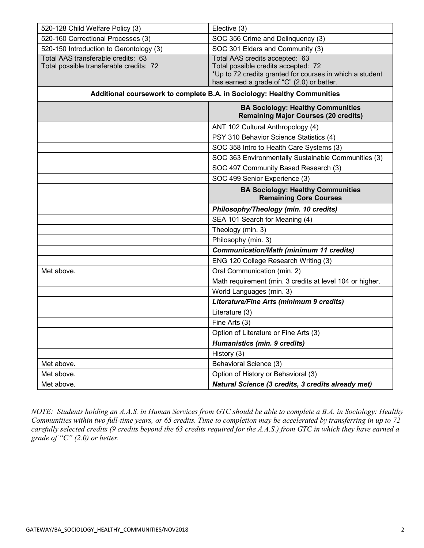| 520-128 Child Welfare Policy (3)                                              | Elective (3)                                                                                                                                                                    |
|-------------------------------------------------------------------------------|---------------------------------------------------------------------------------------------------------------------------------------------------------------------------------|
| 520-160 Correctional Processes (3)                                            | SOC 356 Crime and Delinquency (3)                                                                                                                                               |
| 520-150 Introduction to Gerontology (3)                                       | SOC 301 Elders and Community (3)                                                                                                                                                |
| Total AAS transferable credits: 63<br>Total possible transferable credits: 72 | Total AAS credits accepted: 63<br>Total possible credits accepted: 72<br>*Up to 72 credits granted for courses in which a student<br>has earned a grade of "C" (2.0) or better. |
| Additional coursework to complete B.A. in Sociology: Healthy Communities      |                                                                                                                                                                                 |
|                                                                               | <b>BA Sociology: Healthy Communities</b><br><b>Remaining Major Courses (20 credits)</b>                                                                                         |
|                                                                               | ANT 102 Cultural Anthropology (4)                                                                                                                                               |
|                                                                               | PSY 310 Behavior Science Statistics (4)                                                                                                                                         |
|                                                                               | SOC 358 Intro to Health Care Systems (3)                                                                                                                                        |
|                                                                               | SOC 363 Environmentally Sustainable Communities (3)                                                                                                                             |
|                                                                               | SOC 497 Community Based Research (3)                                                                                                                                            |
|                                                                               | SOC 499 Senior Experience (3)                                                                                                                                                   |
|                                                                               | <b>BA Sociology: Healthy Communities</b><br><b>Remaining Core Courses</b>                                                                                                       |
|                                                                               | Philosophy/Theology (min. 10 credits)                                                                                                                                           |
|                                                                               | SEA 101 Search for Meaning (4)                                                                                                                                                  |
|                                                                               | Theology (min. 3)                                                                                                                                                               |
|                                                                               | Philosophy (min. 3)                                                                                                                                                             |
|                                                                               | <b>Communication/Math (minimum 11 credits)</b>                                                                                                                                  |
|                                                                               | ENG 120 College Research Writing (3)                                                                                                                                            |
| Met above.                                                                    | Oral Communication (min. 2)                                                                                                                                                     |
|                                                                               | Math requirement (min. 3 credits at level 104 or higher.                                                                                                                        |
|                                                                               | World Languages (min. 3)                                                                                                                                                        |
|                                                                               | Literature/Fine Arts (minimum 9 credits)                                                                                                                                        |
|                                                                               | Literature (3)                                                                                                                                                                  |
|                                                                               | Fine Arts (3)                                                                                                                                                                   |
|                                                                               | Option of Literature or Fine Arts (3)                                                                                                                                           |
|                                                                               | Humanistics (min. 9 credits)                                                                                                                                                    |
|                                                                               | History (3)                                                                                                                                                                     |
| Met above.                                                                    | Behavioral Science (3)                                                                                                                                                          |
| Met above.                                                                    | Option of History or Behavioral (3)                                                                                                                                             |
| Met above.                                                                    | Natural Science (3 credits, 3 credits already met)                                                                                                                              |

*NOTE: Students holding an A.A.S. in Human Services from GTC should be able to complete a B.A. in Sociology: Healthy Communities within two full-time years, or 65 credits. Time to completion may be accelerated by transferring in up to 72 carefully selected credits (9 credits beyond the 63 credits required for the A.A.S.) from GTC in which they have earned a grade of "C" (2.0) or better.*